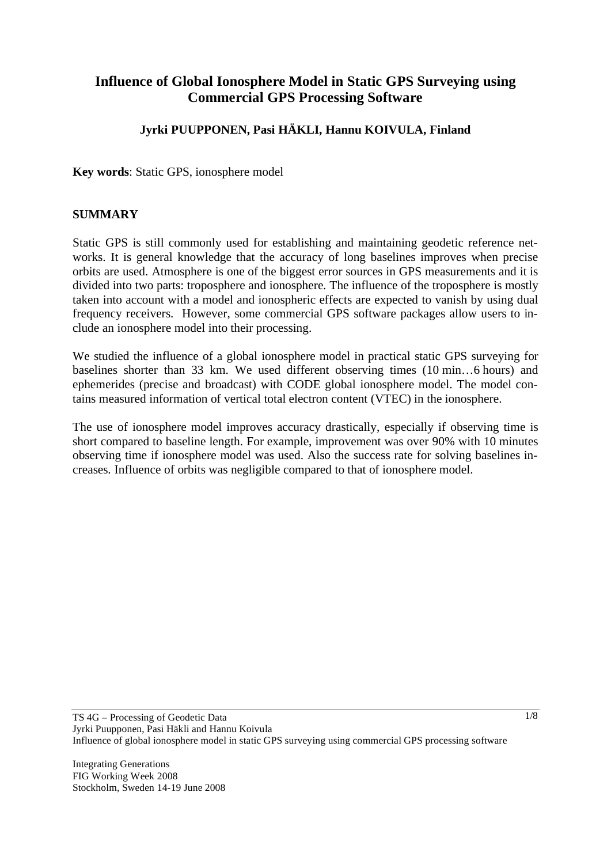# **Influence of Global Ionosphere Model in Static GPS Surveying using Commercial GPS Processing Software**

# **Jyrki PUUPPONEN, Pasi HÄKLI, Hannu KOIVULA, Finland**

**Key words**: Static GPS, ionosphere model

### **SUMMARY**

Static GPS is still commonly used for establishing and maintaining geodetic reference networks. It is general knowledge that the accuracy of long baselines improves when precise orbits are used. Atmosphere is one of the biggest error sources in GPS measurements and it is divided into two parts: troposphere and ionosphere. The influence of the troposphere is mostly taken into account with a model and ionospheric effects are expected to vanish by using dual frequency receivers. However, some commercial GPS software packages allow users to include an ionosphere model into their processing.

We studied the influence of a global ionosphere model in practical static GPS surveying for baselines shorter than 33 km. We used different observing times (10 min…6 hours) and ephemerides (precise and broadcast) with CODE global ionosphere model. The model contains measured information of vertical total electron content (VTEC) in the ionosphere.

The use of ionosphere model improves accuracy drastically, especially if observing time is short compared to baseline length. For example, improvement was over 90% with 10 minutes observing time if ionosphere model was used. Also the success rate for solving baselines increases. Influence of orbits was negligible compared to that of ionosphere model.

Integrating Generations FIG Working Week 2008 Stockholm, Sweden 14-19 June 2008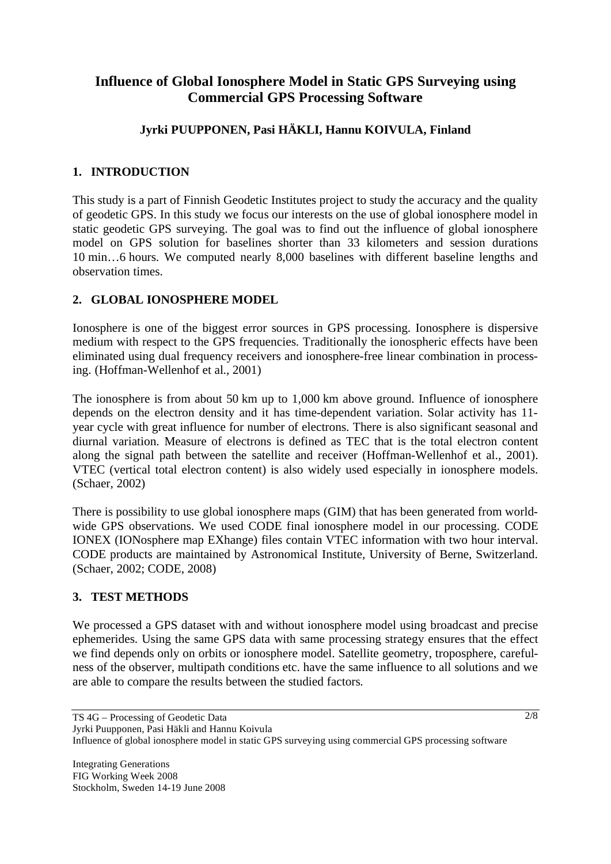# **Influence of Global Ionosphere Model in Static GPS Surveying using Commercial GPS Processing Software**

# **Jyrki PUUPPONEN, Pasi HÄKLI, Hannu KOIVULA, Finland**

# **1. INTRODUCTION**

This study is a part of Finnish Geodetic Institutes project to study the accuracy and the quality of geodetic GPS. In this study we focus our interests on the use of global ionosphere model in static geodetic GPS surveying. The goal was to find out the influence of global ionosphere model on GPS solution for baselines shorter than 33 kilometers and session durations 10 min…6 hours. We computed nearly 8,000 baselines with different baseline lengths and observation times.

# **2. GLOBAL IONOSPHERE MODEL**

Ionosphere is one of the biggest error sources in GPS processing. Ionosphere is dispersive medium with respect to the GPS frequencies. Traditionally the ionospheric effects have been eliminated using dual frequency receivers and ionosphere-free linear combination in processing. (Hoffman-Wellenhof et al., 2001)

The ionosphere is from about 50 km up to 1,000 km above ground. Influence of ionosphere depends on the electron density and it has time-dependent variation. Solar activity has 11 year cycle with great influence for number of electrons. There is also significant seasonal and diurnal variation. Measure of electrons is defined as TEC that is the total electron content along the signal path between the satellite and receiver (Hoffman-Wellenhof et al., 2001). VTEC (vertical total electron content) is also widely used especially in ionosphere models. (Schaer, 2002)

There is possibility to use global ionosphere maps (GIM) that has been generated from worldwide GPS observations. We used CODE final ionosphere model in our processing. CODE IONEX (IONosphere map EXhange) files contain VTEC information with two hour interval. CODE products are maintained by Astronomical Institute, University of Berne, Switzerland. (Schaer, 2002; CODE, 2008)

## **3. TEST METHODS**

We processed a GPS dataset with and without ionosphere model using broadcast and precise ephemerides. Using the same GPS data with same processing strategy ensures that the effect we find depends only on orbits or ionosphere model. Satellite geometry, troposphere, carefulness of the observer, multipath conditions etc. have the same influence to all solutions and we are able to compare the results between the studied factors.

Jyrki Puupponen, Pasi Häkli and Hannu Koivula

TS 4G – Processing of Geodetic Data

Influence of global ionosphere model in static GPS surveying using commercial GPS processing software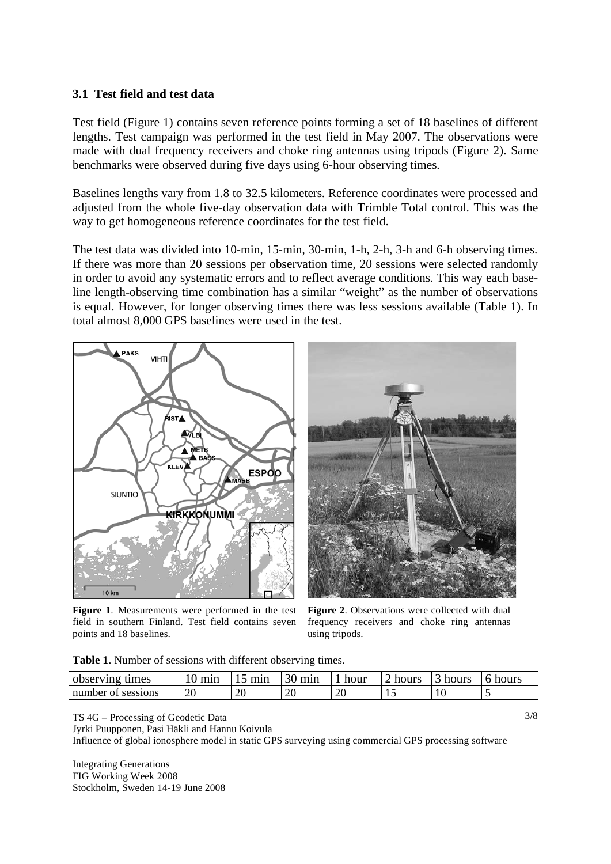#### **3.1 Test field and test data**

Test field (Figure 1) contains seven reference points forming a set of 18 baselines of different lengths. Test campaign was performed in the test field in May 2007. The observations were made with dual frequency receivers and choke ring antennas using tripods (Figure 2). Same benchmarks were observed during five days using 6-hour observing times.

Baselines lengths vary from 1.8 to 32.5 kilometers. Reference coordinates were processed and adjusted from the whole five-day observation data with Trimble Total control. This was the way to get homogeneous reference coordinates for the test field.

The test data was divided into 10-min, 15-min, 30-min, 1-h, 2-h, 3-h and 6-h observing times. If there was more than 20 sessions per observation time, 20 sessions were selected randomly in order to avoid any systematic errors and to reflect average conditions. This way each baseline length-observing time combination has a similar "weight" as the number of observations is equal. However, for longer observing times there was less sessions available (Table 1). In total almost 8,000 GPS baselines were used in the test.



**Figure 1**. Measurements were performed in the test field in southern Finland. Test field contains seven points and 18 baselines.

**Figure 2**. Observations were collected with dual frequency receivers and choke ring antennas using tripods.

**Table 1**. Number of sessions with different observing times.

| observing<br>times |    | min<br>  | 30<br>min | hour             | hours     | hours | hours |
|--------------------|----|----------|-----------|------------------|-----------|-------|-------|
| number of sessions | 20 | or<br>∠∪ | 20        | $\Delta$ r<br>ZU | <b>1.</b> | 1 U   |       |

TS 4G – Processing of Geodetic Data

Jyrki Puupponen, Pasi Häkli and Hannu Koivula

Influence of global ionosphere model in static GPS surveying using commercial GPS processing software

Integrating Generations FIG Working Week 2008 Stockholm, Sweden 14-19 June 2008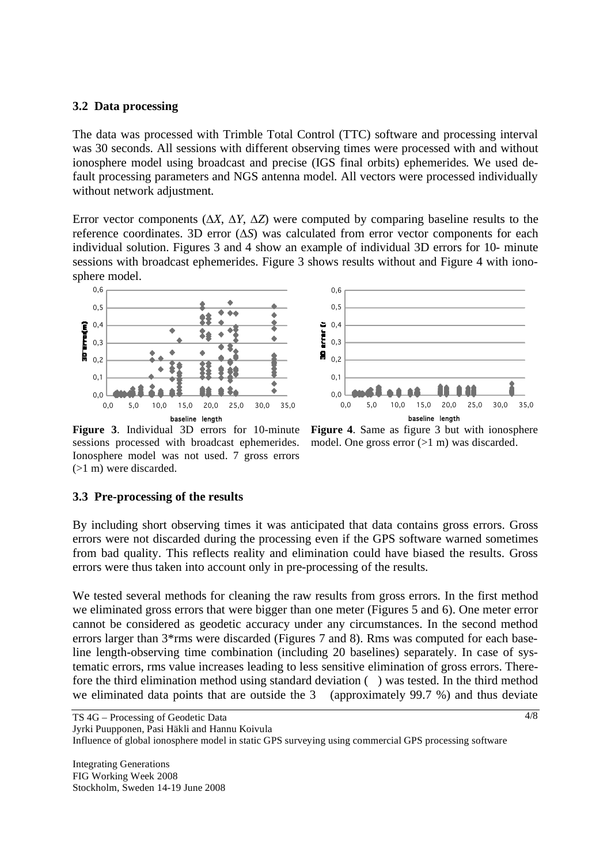#### **3.2 Data processing**

The data was processed with Trimble Total Control (TTC) software and processing interval was 30 seconds. All sessions with different observing times were processed with and without ionosphere model using broadcast and precise (IGS final orbits) ephemerides. We used default processing parameters and NGS antenna model. All vectors were processed individually without network adjustment.

Error vector components  $(\Delta X, \Delta Y, \Delta Z)$  were computed by comparing baseline results to the reference coordinates. 3D error  $(\Delta S)$  was calculated from error vector components for each individual solution. Figures 3 and 4 show an example of individual 3D errors for 10- minute sessions with broadcast ephemerides. Figure 3 shows results without and Figure 4 with ionosphere model.

![](_page_3_Figure_3.jpeg)

![](_page_3_Figure_4.jpeg)

model. One gross error  $(>1 \text{ m})$  was discarded.

**Figure 3**. Individual 3D errors for 10-minute sessions processed with broadcast ephemerides. Ionosphere model was not used. 7 gross errors (>1 m) were discarded.

## **3.3 Pre-processing of the results**

By including short observing times it was anticipated that data contains gross errors. Gross errors were not discarded during the processing even if the GPS software warned sometimes from bad quality. This reflects reality and elimination could have biased the results. Gross errors were thus taken into account only in pre-processing of the results.

We tested several methods for cleaning the raw results from gross errors. In the first method we eliminated gross errors that were bigger than one meter (Figures 5 and 6). One meter error cannot be considered as geodetic accuracy under any circumstances. In the second method errors larger than 3\*rms were discarded (Figures 7 and 8). Rms was computed for each baseline length-observing time combination (including 20 baselines) separately. In case of systematic errors, rms value increases leading to less sensitive elimination of gross errors. Therefore the third elimination method using standard deviation ( ) was tested. In the third method we eliminated data points that are outside the 3 (approximately 99.7 %) and thus deviate

Jyrki Puupponen, Pasi Häkli and Hannu Koivula

Influence of global ionosphere model in static GPS surveying using commercial GPS processing software

TS 4G – Processing of Geodetic Data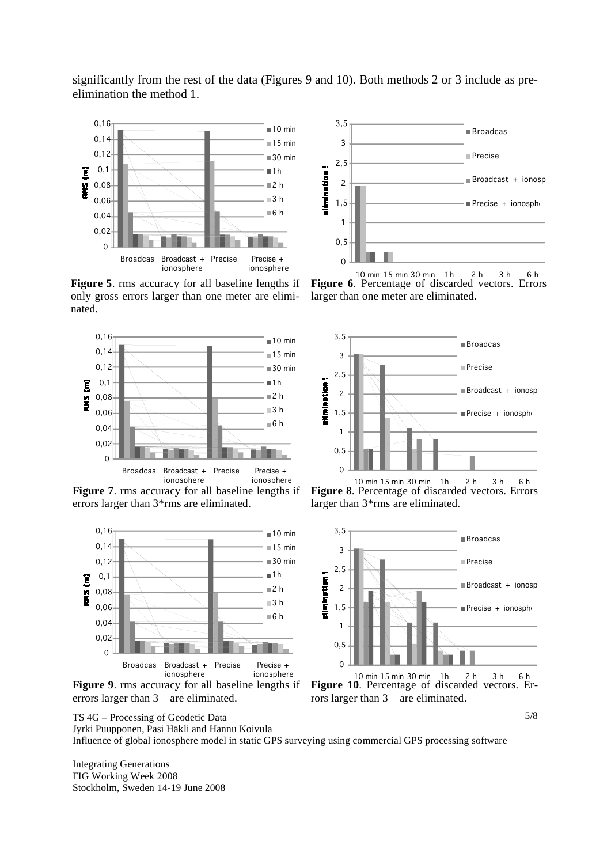significantly from the rest of the data (Figures 9 and 10). Both methods 2 or 3 include as preelimination the method 1.

![](_page_4_Figure_1.jpeg)

**Figure 5**. rms accuracy for all baseline lengths if only gross errors larger than one meter are eliminated.

![](_page_4_Figure_3.jpeg)

**Figure 7**. rms accuracy for all baseline lengths if errors larger than 3\*rms are eliminated.

![](_page_4_Figure_5.jpeg)

![](_page_4_Figure_6.jpeg)

10 min 15 min 30 min 1h 2 h 3 h 6 h **Figure 6**. Percentage of discarded vectors. Errors larger than one meter are eliminated.

![](_page_4_Figure_8.jpeg)

**Figure 8**. Percentage of discarded vectors. Errors larger than 3\*rms are eliminated.

![](_page_4_Figure_10.jpeg)

5/8

TS 4G – Processing of Geodetic Data

Jyrki Puupponen, Pasi Häkli and Hannu Koivula

Influence of global ionosphere model in static GPS surveying using commercial GPS processing software

Integrating Generations FIG Working Week 2008 Stockholm, Sweden 14-19 June 2008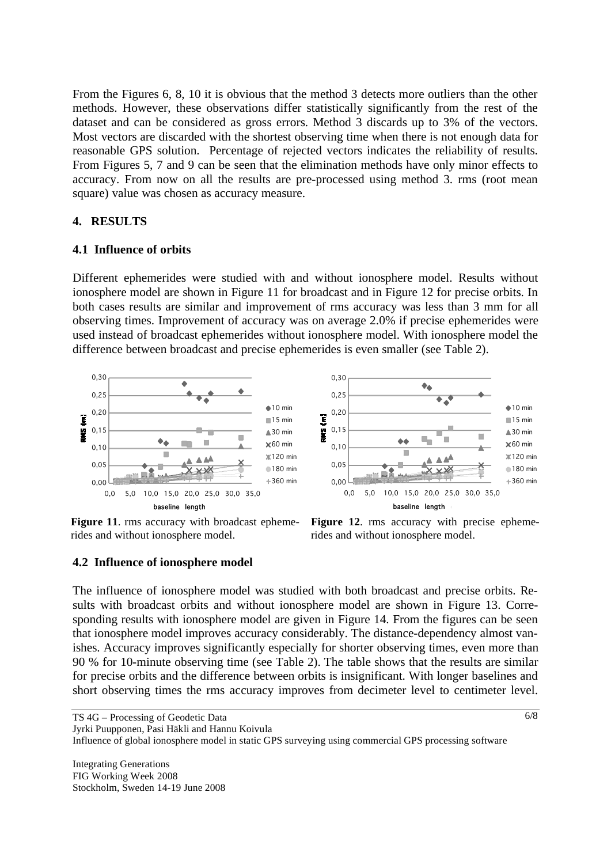From the Figures 6, 8, 10 it is obvious that the method 3 detects more outliers than the other methods. However, these observations differ statistically significantly from the rest of the dataset and can be considered as gross errors. Method 3 discards up to 3% of the vectors. Most vectors are discarded with the shortest observing time when there is not enough data for reasonable GPS solution. Percentage of rejected vectors indicates the reliability of results. From Figures 5, 7 and 9 can be seen that the elimination methods have only minor effects to accuracy. From now on all the results are pre-processed using method 3. rms (root mean square) value was chosen as accuracy measure.

### **4. RESULTS**

#### **4.1 Influence of orbits**

Different ephemerides were studied with and without ionosphere model. Results without ionosphere model are shown in Figure 11 for broadcast and in Figure 12 for precise orbits. In both cases results are similar and improvement of rms accuracy was less than 3 mm for all observing times. Improvement of accuracy was on average 2.0% if precise ephemerides were used instead of broadcast ephemerides without ionosphere model. With ionosphere model the difference between broadcast and precise ephemerides is even smaller (see Table 2).

> 0,25  $0.30$

![](_page_5_Figure_4.jpeg)

![](_page_5_Figure_5.jpeg)

**Figure 11**. rms accuracy with broadcast ephemerides and without ionosphere model.

**Figure 12**. rms accuracy with precise ephemerides and without ionosphere model.

#### **4.2 Influence of ionosphere model**

The influence of ionosphere model was studied with both broadcast and precise orbits. Results with broadcast orbits and without ionosphere model are shown in Figure 13. Corresponding results with ionosphere model are given in Figure 14. From the figures can be seen that ionosphere model improves accuracy considerably. The distance-dependency almost vanishes. Accuracy improves significantly especially for shorter observing times, even more than 90 % for 10-minute observing time (see Table 2). The table shows that the results are similar for precise orbits and the difference between orbits is insignificant. With longer baselines and short observing times the rms accuracy improves from decimeter level to centimeter level.

Jyrki Puupponen, Pasi Häkli and Hannu Koivula

Influence of global ionosphere model in static GPS surveying using commercial GPS processing software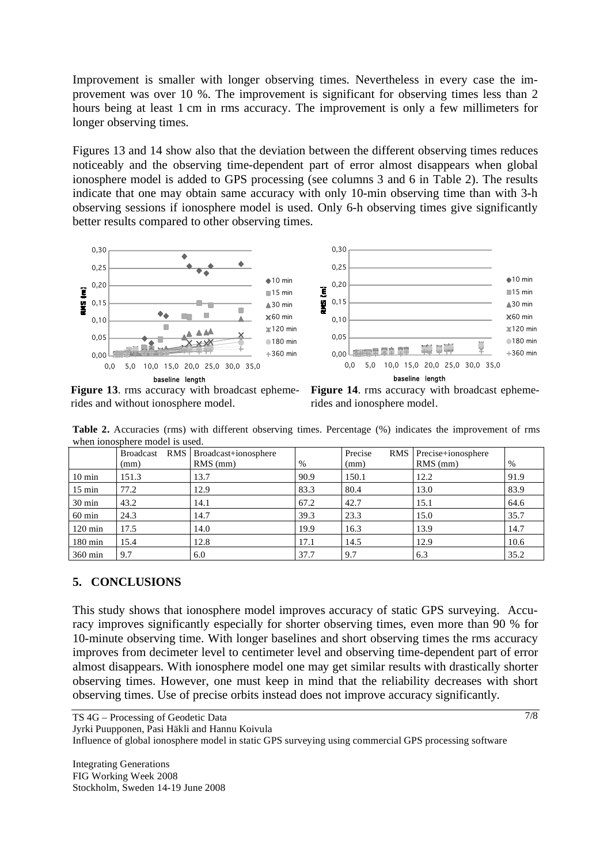Improvement is smaller with longer observing times. Nevertheless in every case the improvement was over 10 %. The improvement is significant for observing times less than 2 hours being at least 1 cm in rms accuracy. The improvement is only a few millimeters for longer observing times.

Figures 13 and 14 show also that the deviation between the different observing times reduces noticeably and the observing time-dependent part of error almost disappears when global ionosphere model is added to GPS processing (see columns 3 and 6 in Table 2). The results indicate that one may obtain same accuracy with only 10-min observing time than with 3-h observing sessions if ionosphere model is used. Only 6-h observing times give significantly better results compared to other observing times.

![](_page_6_Figure_2.jpeg)

**Figure 13**. rms accuracy with broadcast ephemerides and without ionosphere model.

![](_page_6_Figure_4.jpeg)

**Table 2.** Accuracies (rms) with different observing times. Percentage (%) indicates the improvement of rms when ionosphere model is used.

|                   | <b>Broadcast</b> | RMS   Broadcast+ionosphere |      | RMS  <br>Precise | Precise+ionosphere |      |  |  |  |  |  |
|-------------------|------------------|----------------------------|------|------------------|--------------------|------|--|--|--|--|--|
|                   | (mm)             | $RMS$ (mm)                 | %    | (mm)             | $RMS$ (mm)         | $\%$ |  |  |  |  |  |
| $10 \text{ min}$  | 151.3            | 13.7                       | 90.9 | 150.1            | 12.2               | 91.9 |  |  |  |  |  |
| $15 \text{ min}$  | 77.2             | 12.9                       | 83.3 | 80.4             | 13.0               | 83.9 |  |  |  |  |  |
| $30 \text{ min}$  | 43.2             | 14.1                       | 67.2 | 42.7             | 15.1               | 64.6 |  |  |  |  |  |
| $60$ min          | 24.3             | 14.7                       | 39.3 | 23.3             | 15.0               | 35.7 |  |  |  |  |  |
| $120 \text{ min}$ | 17.5             | 14.0                       | 19.9 | 16.3             | 13.9               | 14.7 |  |  |  |  |  |
| $180 \text{ min}$ | 15.4             | 12.8                       | 17.1 | 14.5             | 12.9               | 10.6 |  |  |  |  |  |
| 360 min           | 9.7              | 6.0                        | 37.7 | 9.7              | 6.3                | 35.2 |  |  |  |  |  |

## **5. CONCLUSIONS**

This study shows that ionosphere model improves accuracy of static GPS surveying. Accuracy improves significantly especially for shorter observing times, even more than 90 % for 10-minute observing time. With longer baselines and short observing times the rms accuracy improves from decimeter level to centimeter level and observing time-dependent part of error almost disappears. With ionosphere model one may get similar results with drastically shorter observing times. However, one must keep in mind that the reliability decreases with short observing times. Use of precise orbits instead does not improve accuracy significantly.

TS 4G – Processing of Geodetic Data

Jyrki Puupponen, Pasi Häkli and Hannu Koivula

Influence of global ionosphere model in static GPS surveying using commercial GPS processing software